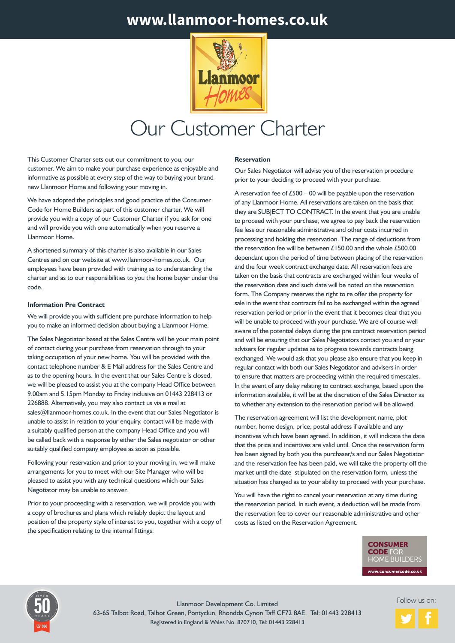# **www.llanmoor-homes.co.uk**



# Our Customer Charter

This Customer Charter sets out our commitment to you, our customer. We aim to make your purchase experience as enjoyable and informative as possible at every step of the way to buying your brand new Llanmoor Home and following your moving in.

We have adopted the principles and good practice of the Consumer Code for Home Builders as part of this customer charter. We will provide you with a copy of our Customer Charter if you ask for one and will provide you with one automatically when you reserve a Llanmoor Home.

A shortened summary of this charter is also available in our Sales Centres and on our website at www.llanmoor-homes.co.uk. Our employees have been provided with training as to understanding the charter and as to our responsibilities to you the home buyer under the code.

# **Information Pre Contract**

We will provide you with sufficient pre purchase information to help you to make an informed decision about buying a Llanmoor Home.

The Sales Negotiator based at the Sales Centre will be your main point of contact during your purchase from reservation through to your taking occupation of your new home. You will be provided with the contact telephone number & E Mail address for the Sales Centre and as to the opening hours. In the event that our Sales Centre is closed, we will be pleased to assist you at the company Head Office between 9.00am and 5.15pm Monday to Friday inclusive on 01443 228413 or 226888. Alternatively, you may also contact us via e mail at sales@llanmoor-homes.co.uk. In the event that our Sales Negotiator is unable to assist in relation to your enquiry, contact will be made with a suitably qualified person at the company Head Office and you will be called back with a response by either the Sales negotiator or other suitably qualified company employee as soon as possible.

Following your reservation and prior to your moving in, we will make arrangements for you to meet with our Site Manager who will be pleased to assist you with any technical questions which our Sales Negotiator may be unable to answer.

Prior to your proceeding with a reservation, we will provide you with a copy of brochures and plans which reliably depict the layout and position of the property style of interest to you, together with a copy of the specification relating to the internal fittings.

#### **SPECIAL OFFERS IS A CONTACT US TO A CONTACT US TO A CONTACT US TO A CONTACT US TO A CONTACT US TO A CONTACT US TO A CONTACT US OF TODAY Reservation**

Our Sales Negotiator will advise you of the reservation procedure prior to your deciding to proceed with your purchase.

A reservation fee of £500 – 00 will be payable upon the reservation of any Llanmoor Home. All reservations are taken on the basis that they are SUBJECT TO CONTRACT. In the event that you are unable to proceed with your purchase, we agree to pay back the reservation fee less our reasonable administrative and other costs incurred in processing and holding the reservation. The range of deductions from the reservation fee will be between £150.00 and the whole £500.00 dependant upon the period of time between placing of the reservation and the four week contract exchange date. All reservation fees are taken on the basis that contracts are exchanged within four weeks of the reservation date and such date will be noted on the reservation form. The Company reserves the right to re offer the property for sale in the event that contracts fail to be exchanged within the agreed reservation period or prior in the event that it becomes clear that you will be unable to proceed with your purchase. We are of course well aware of the potential delays during the pre contract reservation period and will be ensuring that our Sales Negotiators contact you and or your advisers for regular updates as to progress towards contracts being exchanged. We would ask that you please also ensure that you keep in regular contact with both our Sales Negotiator and advisers in order to ensure that matters are proceeding within the required timescales. In the event of any delay relating to contract exchange, based upon the information available, it will be at the discretion of the Sales Director as to whether any extension to the reservation period will be allowed.

The reservation agreement will list the development name, plot number, home design, price, postal address if available and any incentives which have been agreed. In addition, it will indicate the date that the price and incentives are valid until. Once the reservation form has been signed by both you the purchaser/s and our Sales Negotiator and the reservation fee has been paid, we will take the property off the market until the date stipulated on the reservation form, unless the situation has changed as to your ability to proceed with your purchase.

You will have the right to cancel your reservation at any time during the reservation period. In such event, a deduction will be made from the reservation fee to cover our reasonable administrative and other costs as listed on the Reservation Agreement.

> **CONSUMER CODE FOR OME BUILDERS** www.consumercode.co.uk



Follow us on:<br>63-65 Talbot Road, Talbot Green, Pontyclun, Rhondda Cynon Taff CF72 8AE. Tel: 01443 228413 Registered in England & Wales No. 870710, Tel: 01443 228413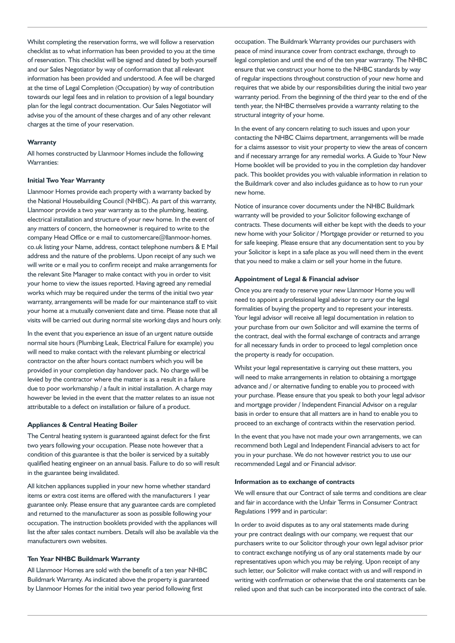Whilst completing the reservation forms, we will follow a reservation checklist as to what information has been provided to you at the time of reservation. This checklist will be signed and dated by both yourself and our Sales Negotiator by way of conformation that all relevant information has been provided and understood. A fee will be charged at the time of Legal Completion (Occupation) by way of contribution towards our legal fees and in relation to provision of a legal boundary plan for the legal contract documentation. Our Sales Negotiator will advise you of the amount of these charges and of any other relevant charges at the time of your reservation.

#### **Warranty**

All homes constructed by Llanmoor Homes include the following Warranties:

# **Initial Two Year Warranty**

Llanmoor Homes provide each property with a warranty backed by the National Housebuilding Council (NHBC). As part of this warranty, Llanmoor provide a two year warranty as to the plumbing, heating, electrical installation and structure of your new home. In the event of any matters of concern, the homeowner is required to write to the company Head Office or e mail to customercare@llanmoor-homes. co.uk listing your Name, address, contact telephone numbers & E Mail address and the nature of the problems. Upon receipt of any such we will write or e mail you to confirm receipt and make arrangements for the relevant Site Manager to make contact with you in order to visit your home to view the issues reported. Having agreed any remedial works which may be required under the terms of the initial two year warranty, arrangements will be made for our maintenance staff to visit your home at a mutually convenient date and time. Please note that all visits will be carried out during normal site working days and hours only.

In the event that you experience an issue of an urgent nature outside normal site hours (Plumbing Leak, Electrical Failure for example) you will need to make contact with the relevant plumbing or electrical contractor on the after hours contact numbers which you will be provided in your completion day handover pack. No charge will be levied by the contractor where the matter is as a result in a failure due to poor workmanship / a fault in initial installation. A charge may however be levied in the event that the matter relates to an issue not attributable to a defect on installation or failure of a product.

# **Appliances & Central Heating Boiler**

The Central heating system is guaranteed against defect for the first two years following your occupation. Please note however that a condition of this guarantee is that the boiler is serviced by a suitably qualified heating engineer on an annual basis. Failure to do so will result in the guarantee being invalidated.

All kitchen appliances supplied in your new home whether standard items or extra cost items are offered with the manufacturers 1 year guarantee only. Please ensure that any guarantee cards are completed and returned to the manufacturer as soon as possible following your occupation. The instruction booklets provided with the appliances will list the after sales contact numbers. Details will also be available via the manufacturers own websites.

# **Ten Year NHBC Buildmark Warranty**

All Llanmoor Homes are sold with the benefit of a ten year NHBC Buildmark Warranty. As indicated above the property is guaranteed by Llanmoor Homes for the initial two year period following first

occupation. The Buildmark Warranty provides our purchasers with peace of mind insurance cover from contract exchange, through to legal completion and until the end of the ten year warranty. The NHBC ensure that we construct your home to the NHBC standards by way of regular inspections throughout construction of your new home and requires that we abide by our responsibilities during the initial two year warranty period. From the beginning of the third year to the end of the tenth year, the NHBC themselves provide a warranty relating to the structural integrity of your home.

In the event of any concern relating to such issues and upon your contacting the NHBC Claims department, arrangements will be made for a claims assessor to visit your property to view the areas of concern and if necessary arrange for any remedial works. A Guide to Your New Home booklet will be provided to you in the completion day handover pack. This booklet provides you with valuable information in relation to the Buildmark cover and also includes guidance as to how to run your new home.

Notice of insurance cover documents under the NHBC Buildmark warranty will be provided to your Solicitor following exchange of contracts. These documents will either be kept with the deeds to your new home with your Solicitor / Mortgage provider or returned to you for safe keeping. Please ensure that any documentation sent to you by your Solicitor is kept in a safe place as you will need them in the event that you need to make a claim or sell your home in the future.

# **Appointment of Legal & Financial advisor**

Once you are ready to reserve your new Llanmoor Home you will need to appoint a professional legal advisor to carry our the legal formalities of buying the property and to represent your interests. Your legal advisor will receive all legal documentation in relation to your purchase from our own Solicitor and will examine the terms of the contract, deal with the formal exchange of contracts and arrange for all necessary funds in order to proceed to legal completion once the property is ready for occupation.

Whilst your legal representative is carrying out these matters, you will need to make arrangements in relation to obtaining a mortgage advance and / or alternative funding to enable you to proceed with your purchase. Please ensure that you speak to both your legal advisor and mortgage provider / Independent Financial Advisor on a regular basis in order to ensure that all matters are in hand to enable you to proceed to an exchange of contracts within the reservation period.

In the event that you have not made your own arrangements, we can recommend both Legal and Independent Financial advisers to act for you in your purchase. We do not however restrict you to use our recommended Legal and or Financial advisor.

#### **Information as to exchange of contracts**

We will ensure that our Contract of sale terms and conditions are clear and fair in accordance with the Unfair Terms in Consumer Contract Regulations 1999 and in particular:

In order to avoid disputes as to any oral statements made during your pre contract dealings with our company, we request that our purchasers write to our Solicitor through your own legal advisor prior to contract exchange notifying us of any oral statements made by our representatives upon which you may be relying. Upon receipt of any such letter, our Solicitor will make contact with us and will respond in writing with confirmation or otherwise that the oral statements can be relied upon and that such can be incorporated into the contract of sale.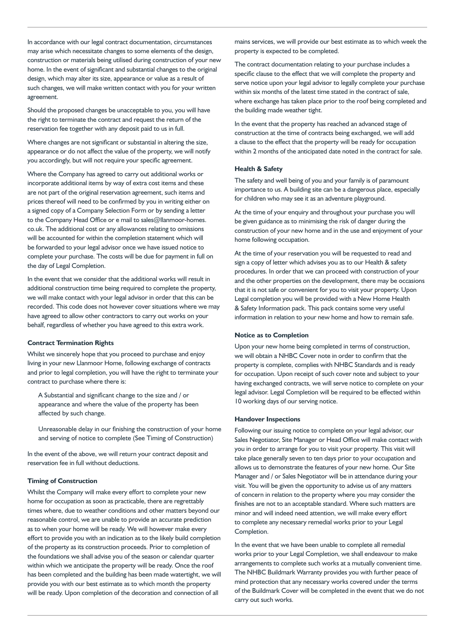In accordance with our legal contract documentation, circumstances may arise which necessitate changes to some elements of the design, construction or materials being utilised during construction of your new home. In the event of significant and substantial changes to the original design, which may alter its size, appearance or value as a result of such changes, we will make written contact with you for your written agreement.

Should the proposed changes be unacceptable to you, you will have the right to terminate the contract and request the return of the reservation fee together with any deposit paid to us in full.

Where changes are not significant or substantial in altering the size, appearance or do not affect the value of the property, we will notify you accordingly, but will not require your specific agreement.

Where the Company has agreed to carry out additional works or incorporate additional items by way of extra cost items and these are not part of the original reservation agreement, such items and prices thereof will need to be confirmed by you in writing either on a signed copy of a Company Selection Form or by sending a letter to the Company Head Office or e mail to sales@llanmoor-homes. co.uk. The additional cost or any allowances relating to omissions will be accounted for within the completion statement which will be forwarded to your legal advisor once we have issued notice to complete your purchase. The costs will be due for payment in full on the day of Legal Completion.

In the event that we consider that the additional works will result in additional construction time being required to complete the property, we will make contact with your legal advisor in order that this can be recorded. This code does not however cover situations where we may have agreed to allow other contractors to carry out works on your behalf, regardless of whether you have agreed to this extra work.

# **Contract Termination Rights**

Whilst we sincerely hope that you proceed to purchase and enjoy living in your new Llanmoor Home, following exchange of contracts and prior to legal completion, you will have the right to terminate your contract to purchase where there is:

A Substantial and significant change to the size and / or appearance and where the value of the property has been affected by such change.

Unreasonable delay in our finishing the construction of your home and serving of notice to complete (See Timing of Construction)

In the event of the above, we will return your contract deposit and reservation fee in full without deductions.

# **Timing of Construction**

Whilst the Company will make every effort to complete your new home for occupation as soon as practicable, there are regrettably times where, due to weather conditions and other matters beyond our reasonable control, we are unable to provide an accurate prediction as to when your home will be ready. We will however make every effort to provide you with an indication as to the likely build completion of the property as its construction proceeds. Prior to completion of the foundations we shall advise you of the season or calendar quarter within which we anticipate the property will be ready. Once the roof has been completed and the building has been made watertight, we will provide you with our best estimate as to which month the property will be ready. Upon completion of the decoration and connection of all

mains services, we will provide our best estimate as to which week the property is expected to be completed.

The contract documentation relating to your purchase includes a specific clause to the effect that we will complete the property and serve notice upon your legal advisor to legally complete your purchase within six months of the latest time stated in the contract of sale, where exchange has taken place prior to the roof being completed and the building made weather tight.

In the event that the property has reached an advanced stage of construction at the time of contracts being exchanged, we will add a clause to the effect that the property will be ready for occupation within 2 months of the anticipated date noted in the contract for sale.

#### **Health & Safety**

The safety and well being of you and your family is of paramount importance to us. A building site can be a dangerous place, especially for children who may see it as an adventure playground.

At the time of your enquiry and throughout your purchase you will be given guidance as to minimising the risk of danger during the construction of your new home and in the use and enjoyment of your home following occupation.

At the time of your reservation you will be requested to read and sign a copy of letter which advises you as to our Health & safety procedures. In order that we can proceed with construction of your and the other properties on the development, there may be occasions that it is not safe or convenient for you to visit your property. Upon Legal completion you will be provided with a New Home Health & Safety Information pack. This pack contains some very useful information in relation to your new home and how to remain safe.

# **Notice as to Completion**

Upon your new home being completed in terms of construction, we will obtain a NHBC Cover note in order to confirm that the property is complete, complies with NHBC Standards and is ready for occupation. Upon receipt of such cover note and subject to your having exchanged contracts, we will serve notice to complete on your legal advisor. Legal Completion will be required to be effected within 10 working days of our serving notice.

#### **Handover Inspections**

Following our issuing notice to complete on your legal advisor, our Sales Negotiator, Site Manager or Head Office will make contact with you in order to arrange for you to visit your property. This visit will take place generally seven to ten days prior to your occupation and allows us to demonstrate the features of your new home. Our Site Manager and / or Sales Negotiator will be in attendance during your visit. You will be given the opportunity to advise us of any matters of concern in relation to the property where you may consider the finishes are not to an acceptable standard. Where such matters are minor and will indeed need attention, we will make every effort to complete any necessary remedial works prior to your Legal Completion.

In the event that we have been unable to complete all remedial works prior to your Legal Completion, we shall endeavour to make arrangements to complete such works at a mutually convenient time. The NHBC Buildmark Warranty provides you with further peace of mind protection that any necessary works covered under the terms of the Buildmark Cover will be completed in the event that we do not carry out such works.